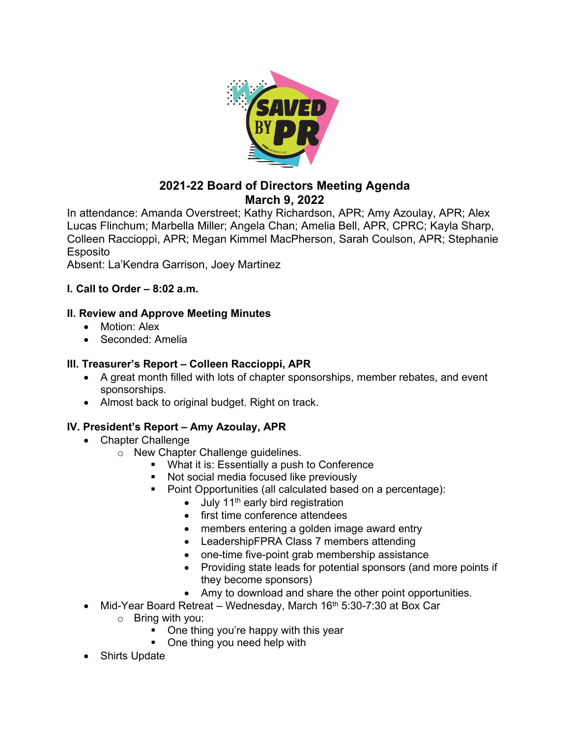

# **2021-22 Board of Directors Meeting Agenda March 9, 2022**

In attendance: Amanda Overstreet; Kathy Richardson, APR; Amy Azoulay, APR; Alex Lucas Flinchum; Marbella Miller; Angela Chan; Amelia Bell, APR, CPRC; Kayla Sharp, Colleen Raccioppi, APR; Megan Kimmel MacPherson, Sarah Coulson, APR; Stephanie **Esposito** 

Absent: La'Kendra Garrison, Joey Martinez

### **I. Call to Order – 8:02 a.m.**

# **II. Review and Approve Meeting Minutes**

- Motion: Alex
- Seconded: Amelia

### **III. Treasurer's Report – Colleen Raccioppi, APR**

- A great month filled with lots of chapter sponsorships, member rebates, and event sponsorships.
- Almost back to original budget. Right on track.

#### **IV. President's Report – Amy Azoulay, APR**

- Chapter Challenge
	- o New Chapter Challenge guidelines.
		- **What it is: Essentially a push to Conference**
		- Not social media focused like previously
		- Point Opportunities (all calculated based on a percentage):
			- $\bullet$  July 11<sup>th</sup> early bird registration
			- first time conference attendees
			- members entering a golden image award entry
			- LeadershipFPRA Class 7 members attending
			- one-time five-point grab membership assistance
			- Providing state leads for potential sponsors (and more points if they become sponsors)
			- Amy to download and share the other point opportunities.
- Mid-Year Board Retreat Wednesday, March 16<sup>th</sup> 5:30-7:30 at Box Car
	- $\circ$  Bring with you:
		- One thing you're happy with this year
		- One thing you need help with
- Shirts Update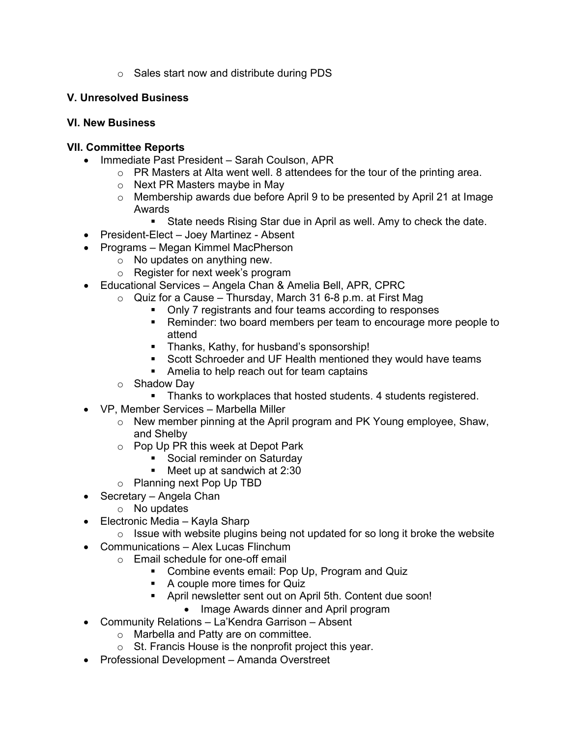o Sales start now and distribute during PDS

# **V. Unresolved Business**

# **VI. New Business**

# **VII. Committee Reports**

- Immediate Past President Sarah Coulson, APR
	- $\circ$  PR Masters at Alta went well. 8 attendees for the tour of the printing area.
	- o Next PR Masters maybe in May
	- o Membership awards due before April 9 to be presented by April 21 at Image Awards
		- **State needs Rising Star due in April as well. Amy to check the date.**
- President-Elect Joey Martinez Absent
- Programs Megan Kimmel MacPherson
	- o No updates on anything new.
	- o Register for next week's program
- Educational Services Angela Chan & Amelia Bell, APR, CPRC
	- $\circ$  Quiz for a Cause Thursday, March 31 6-8 p.m. at First Mag
		- Only 7 registrants and four teams according to responses
		- **Reminder: two board members per team to encourage more people to** attend
		- Thanks, Kathy, for husband's sponsorship!
		- **Scott Schroeder and UF Health mentioned they would have teams**
		- Amelia to help reach out for team captains
	- o Shadow Day
		- **Thanks to workplaces that hosted students. 4 students registered.**
- VP, Member Services Marbella Miller
	- o New member pinning at the April program and PK Young employee, Shaw, and Shelby
	- o Pop Up PR this week at Depot Park
		- **Social reminder on Saturday**
		- Meet up at sandwich at 2:30
	- o Planning next Pop Up TBD
- Secretary Angela Chan
	- o No updates
- Electronic Media Kayla Sharp
	- $\circ$  Issue with website plugins being not updated for so long it broke the website
- Communications Alex Lucas Flinchum
	- o Email schedule for one-off email
		- **Combine events email: Pop Up, Program and Quiz**
		- A couple more times for Quiz
		- April newsletter sent out on April 5th. Content due soon!
			- Image Awards dinner and April program
- Community Relations La'Kendra Garrison Absent
	- o Marbella and Patty are on committee.
	- $\circ$  St. Francis House is the nonprofit project this year.
- Professional Development Amanda Overstreet